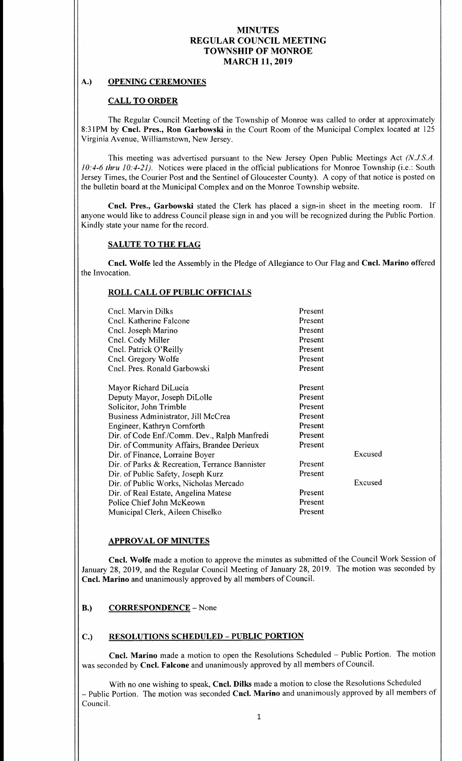# A.) OPENING CEREMONIES

# CALL TO ORDER

The Regular Council Meeting of the Township of Monroe was called to order at approximately 8:31PM by Cncl. Pres., Ron Garbowski in the Court Room of the Municipal Complex located at 125 Virginia Avenue, Williamstown, New Jersey.

This meeting was advertised pursuant to the New Jersey Open Public Meetings Act (N.J.S.A.  $10:4-6$  thru  $10:4-21$ ). Notices were placed in the official publications for Monroe Township (i.e.: South Jersey Times, the Courier Post and the Sentinel of Gloucester County). A copy of that notice is posted on the bulletin board at the Municipal Complex and on the Monroe Township website.

Cncl. Pres., Garbowski stated the Clerk has placed <sup>a</sup> sign-in sheet in the meeting room. If anyone would like to address Council please sign in and you will be recognized during the Public Portion. Kindly state your name for the record.

### SALUTE TO THE FLAG

Cncl. Wolfe led the Assembly in the Pledge of Allegiance to Our Flag and Cncl. Marino offered the Invocation.

### ROLL CALL OF PUBLIC OFFICIALS

| Cncl. Marvin Dilks                             | Present |         |
|------------------------------------------------|---------|---------|
| Cncl. Katherine Falcone                        | Present |         |
| Cncl. Joseph Marino                            | Present |         |
| Cncl. Cody Miller                              | Present |         |
| Cncl. Patrick O'Reilly                         | Present |         |
| Cncl. Gregory Wolfe                            | Present |         |
| Cncl. Pres. Ronald Garbowski                   | Present |         |
| Mayor Richard DiLucia                          | Present |         |
|                                                |         |         |
| Deputy Mayor, Joseph DiLolle                   | Present |         |
| Solicitor, John Trimble                        | Present |         |
| Business Administrator, Jill McCrea            | Present |         |
| Engineer, Kathryn Cornforth                    | Present |         |
| Dir. of Code Enf./Comm. Dev., Ralph Manfredi   | Present |         |
| Dir. of Community Affairs, Brandee Derieux     | Present |         |
| Dir. of Finance, Lorraine Boyer                |         | Excused |
| Dir. of Parks & Recreation, Terrance Bannister | Present |         |
| Dir. of Public Safety, Joseph Kurz             | Present |         |
| Dir. of Public Works, Nicholas Mercado         |         | Excused |
| Dir. of Real Estate, Angelina Matese           | Present |         |
| Police Chief John McKeown                      | Present |         |
| Municipal Clerk, Aileen Chiselko               | Present |         |

## APPROVAL OF MINUTES

Cncl. Wolfe made <sup>a</sup> motion to approve the minutes as submitted of the Council Work Session of January 28, 2019, and the Regular Council Meeting of January 28, 2019. The motion was seconded by Cncl. Marino and unanimously approved by all members of Council.

### B.) CORRESPONDENCE – None

### C.) RESOLUTIONS SCHEDULED— PUBLIC PORTION

Cncl. Marino made <sup>a</sup> motion to open the Resolutions Scheduled —Public Portion. The motion was seconded by Cncl. Falcone and unanimously approved by all members of Council.

With no one wishing to speak, Cncl. Dilks made a motion to close the Resolutions Scheduled - Public Portion. The motion was seconded Cncl. Marino and unanimously approved by all members of Council.

1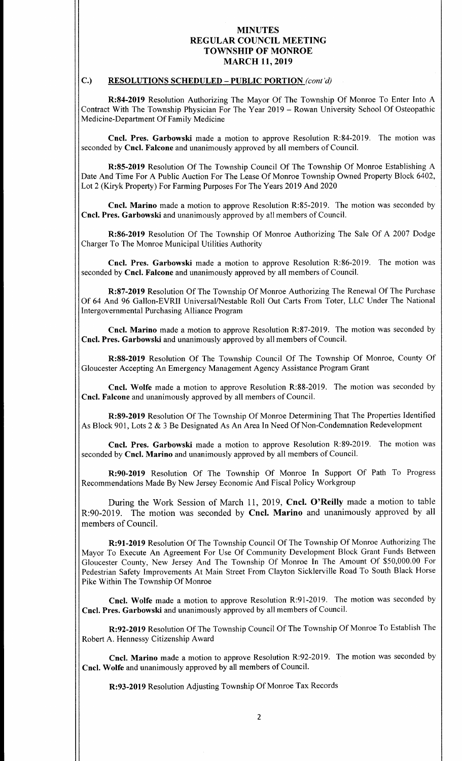# C.) RESOLUTIONS SCHEDULED - PUBLIC PORTION (cont'd)

R:84-2019 Resolution Authorizing The Mayor Of The Township Of Monroe To Enter Into A Contract With The Township Physician For The Year 2019 — Rowan University School Of Osteopathic Medicine-Department Of Family Medicine

Cncl. Pres. Garbowski made a motion to approve Resolution R:84-2019. The motion was seconded by Cncl. Falcone and unanimously approved by all members of Council.

R:85-2019 Resolution Of The Township Council Of The Township Of Monroe Establishing A Date And Time For A Public Auction For The Lease Of Monroe Township Owned Property Block 6402, Lot 2 (Kiryk Property) For Farming Purposes For The Years 2019 And 2020

Cncl. Marino made a motion to approve Resolution R:85-2019. The motion was seconded by Cncl. Pres. Garbowski and unanimously approved by all members of Council.

R:86-2019 Resolution Of The Township Of Monroe Authorizing The Sale Of A 2007 Dodge Charger To The Monroe Municipal Utilities Authority

Cncl. Pres. Garbowski made a motion to approve Resolution R:86-2019. The motion was seconded by Cncl. Falcone and unanimously approved by all members of Council.

R:87-2019 Resolution Of The Township Of Monroe Authorizing The Renewal Of The Purchase Of 64 And 96 Gallon-EVRII Universal/Nestable Roll Out Carts From Toter, LLC Under The National Intergovernmental Purchasing Alliance Program

Cncl. Marino made a motion to approve Resolution R:87-2019. The motion was seconded by Cncl. Pres. Garbowski and unanimously approved by all members of Council.

R:88-2019 Resolution Of The Township Council Of The Township Of Monroe, County Of Gloucester Accepting An Emergency Management Agency Assistance Program Grant

Cncl. Wolfe made a motion to approve Resolution R:88-2019. The motion was seconded by Cncl. Falcone and unanimously approved by all members of Council.

R: 89-2019 Resolution Of The Township Of Monroe Determining That The Properties Identified As Block 901, Lots 2 & 3 Be Designated As An Area In Need Of Non-Condemnation Redevelopment

Cncl. Pres. Garbowski made a motion to approve Resolution R:89-2019. The motion was seconded by Cncl. Marino and unanimously approved by all members of Council.

R:90-2019 Resolution Of The Township Of Monroe In Support Of Path To Progress Recommendations Made By New Jersey Economic And Fiscal Policy Workgroup

During the Work Session of March 11, 2019, Cncl. O'Reilly made a motion to table R:90-2019. The motion was seconded by Cncl. Marino and unanimously approved by all members of Council.

R:91-2019 Resolution Of The Township Council Of The Township Of Monroe Authorizing The Mayor To Execute An Agreement For Use Of Community Development Block Grant Funds Between Gloucester County, New Jersey And The Township Of Monroe In The Amount Of \$50,000. <sup>00</sup> For Pedestrian Safety Improvements At Main Street From Clayton Sicklerville Road To South Black Horse Pike Within The Township Of Monroe

Cncl. Wolfe made a motion to approve Resolution R:91-2019. The motion was seconded by Cncl. Pres. Garbowski and unanimously approved by all members of Council.

R:92-2019 Resolution Of The Township Council Of The Township Of Monroe To Establish The Robert A. Hennessy Citizenship Award

Cncl. Marino made <sup>a</sup> motion to approve Resolution R:92-2019. The motion was seconded by Cncl. Wolfe and unanimously approved by all members of Council.

R:93-2019 Resolution Adjusting Township Of Monroe Tax Records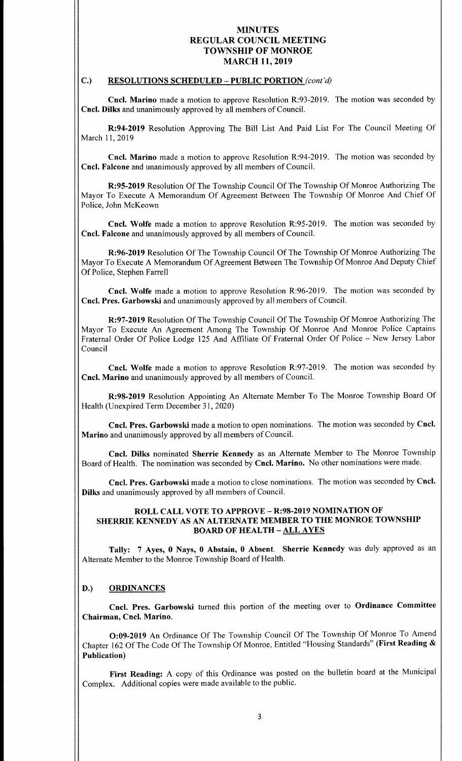# C.) RESOLUTIONS SCHEDULED - PUBLIC PORTION (cont'd)

Cncl. Marino made a motion to approve Resolution R:93-2019. The motion was seconded by Cncl. Dilks and unanimously approved by all members of Council.

R:94-2019 Resolution Approving The Bill List And Paid List For The Council Meeting Of March 11, 2019

Cncl, Marino made <sup>a</sup> motion to approve Resolution R:94-2019. The motion was seconded by Cncl. Falcone and unanimously approved by all members of Council.

R:95- 2019 Resolution Of The Township Council Of The Township Of Monroe Authorizing The Mayor To Execute A Memorandum Of Agreement Between The Township Of Monroe And Chief Of Police, John McKeown

Cncl. Wolfe made a motion to approve Resolution R:95-2019. The motion was seconded by Cncl. Falcone and unanimously approved by all members of Council.

R: 96-2019 Resolution Of The Township Council Of The Township Of Monroe Authorizing The Mayor To Execute A Memorandum Of Agreement Between The Township Of Monroe And Deputy Chief Of Police, Stephen Farrell

Cncl. Wolfe made a motion to approve Resolution R:96-2019. The motion was seconded by Cncl. Pres. Garbowski and unanimously approved by all members of Council.

R: 97-2019 Resolution Of The Township Council Of The Township Of Monroe Authorizing The Mayor To Execute An Agreement Among The Township Of Monroe And Monroe Police Captains Fraternal Order Of Police Lodge <sup>125</sup> And Affiliate Of Fraternal Order Of Police — New Jersey Labor Council

Cncl. Wolfe made <sup>a</sup> motion to approve Resolution R:97-2019. The motion was seconded by Cncl. Marino and unanimously approved by all members of Council.

R:98-2019 Resolution Appointing An Alternate Member To The Monroe Township Board Of Health (Unexpired Term December 31, 2020)

Cncl. Pres. Garbowski made a motion to open nominations. The motion was seconded by Cncl. Marino and unanimously approved by all members of Council.

Cncl. Dilks nominated Sherrie Kennedy as an Alternate Member to The Monroe Township Board of Health. The nomination was seconded by Cncl. Marino. No other nominations were made.

Cncl. Pres. Garbowski made a motion to close nominations. The motion was seconded by Cncl. Dilks and unanimously approved by all members of Council.

## ROLL CALL VOTE TO APPROVE - R:98-2019 NOMINATION OF SHERRIE KENNEDY AS AN ALTERNATE MEMBER TO THE MONROE TOWNSHIP BOARD OF HEALTH—ALL AYES

Tally: <sup>7</sup> Ayes, <sup>0</sup> Nays, <sup>0</sup> Abstain, 0 Absent. Sherrie Kennedy was duly approved as an Alternate Member to the Monroe Township Board of Health.

### D.) ORDINANCES

Cncl. Pres. Garbowski turned this portion of the meeting over to Ordinance Committee Chairman, Cncl. Marino.

0:09- <sup>2019</sup> An Ordinance Of The Township Council Of The Township Of Monroe To Amend Chapter 162 Of The Code Of The Township Of Monroe, Entitled "Housing Standards" (First Reading & Publication)

First Reading: A copy of this Ordinance was posted on the bulletin board at the Municipal Complex. Additional copies were made available to the public.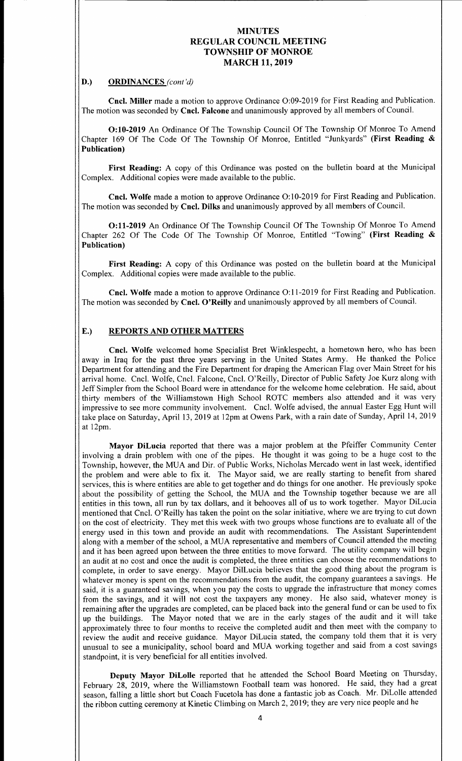#### D.) ORDINANCES (cont'd)

Cncl. Miller made a motion to approve Ordinance O:09-2019 for First Reading and Publication. The motion was seconded by Cncl. Falcone and unanimously approved by all members of Council.

0:10- <sup>2019</sup> An Ordinance Of The Township Council Of The Township Of Monroe To Amend Chapter 169 Of The Code Of The Township Of Monroe, Entitled "Junkyards" (First Reading & Publication)

First Reading: A copy of this Ordinance was posted on the bulletin board at the Municipal Complex. Additional copies were made available to the public.

Cncl. Wolfe made a motion to approve Ordinance O:10-2019 for First Reading and Publication. The motion was seconded by Cncl. Dilks and unanimously approved by all members of Council.

O:11-2019 An Ordinance Of The Township Council Of The Township Of Monroe To Amend Chapter 262 Of The Code Of The Township Of Monroe, Entitled "Towing" (First Reading & Publication)

First Reading: A copy of this Ordinance was posted on the bulletin board at the Municipal Complex. Additional copies were made available to the public.

Cncl. Wolfe made a motion to approve Ordinance O:11-2019 for First Reading and Publication. The motion was seconded by Cncl. O'Reilly and unanimously approved by all members of Council.

# E.) REPORTS AND OTHER MATTERS

Cncl. Wolfe welcomed home Specialist Bret Winklespecht, a hometown hero, who has been away in Iraq for the past three years serving in the United States Army. He thanked the Police Department for attending and the Fire Department for draping the American Flag over Main Street for his arrival home. Cncl. Wolfe, Cncl. Falcone, Cncl. O' Reilly, Director of Public Safety Joe Kurz along with Jeff Simpler from the School Board were in attendance for the welcome home celebration. He said, about thirty members of the Williamstown High School ROTC members also attended and it was very impressive to see more community involvement. Cncl. Wolfe advised, the annual Easter Egg Hunt will take place on Saturday, April 13, 2019 at 12pm at Owens Park, with <sup>a</sup> rain date of Sunday, April 14, 2019 at 12pm.

Mayor DiLucia reported that there was <sup>a</sup> major problem at the Pfeiffer Community Center involving <sup>a</sup> drain problem with one of the pipes. He thought it was going to be <sup>a</sup> huge cost to the Township, however, the MUA and Dir. of Public Works, Nicholas Mercado went in last week, identified the problem and were able to fix it. The Mayor said, we are really starting to benefit from shared services, this is where entities are able to get together and do things for one another. He previously spoke about the possibility of getting the School, the MUA and the Township together because we are all entities in this town, all run by tax dollars, and it behooves all of us to work together. Mayor DiLucia mentioned that Cncl. O' Reilly has taken the point on the solar initiative, where we are trying to cut down on the cost of electricity. They met this week with two groups whose functions are to evaluate all of the energy used in this town and provide an audit with recommendations. The Assistant Superintendent along with <sup>a</sup> member of the school, a MUA representative and members of Council attended the meeting and it has been agreed upon between the three entities to move forward. The utility company will begin an audit at no cost and once the audit is completed, the three entities can choose the recommendations to complete, in order to save energy. Mayor DilLucia believes that the good thing about the program is whatever money is spent on the recommendations from the audit, the company guarantees a savings. He said, it is a guaranteed savings, when you pay the costs to upgrade the infrastructure that money comes from the savings, and it will not cost the taxpayers any money. He also said, whatever money is remaining after the upgrades are completed, can be placed back into the general fund or can be used to fix up the buildings. The Mayor noted that we are in the early stages of the audit and it will take approximately three to four months to receive the completed audit and then meet with the company to review the audit and receive guidance. Mayor DiLucia stated, the company told them that it is very unusual to see a municipality, school board and MUA working together and said from a cost savings standpoint, it is very beneficial for all entities involved.

Deputy Mayor DiLolle reported that he attended the School Board Meeting on Thursday, February 28, 2019, where the Williamstown Football team was honored. He said, they had a great season, falling <sup>a</sup> little short but Coach Fucetola has done <sup>a</sup> fantastic job as Coach. Mr. DiLolle attended the ribbon cutting ceremony at Kinetic Climbing on March 2, 2019; they are very nice people and he